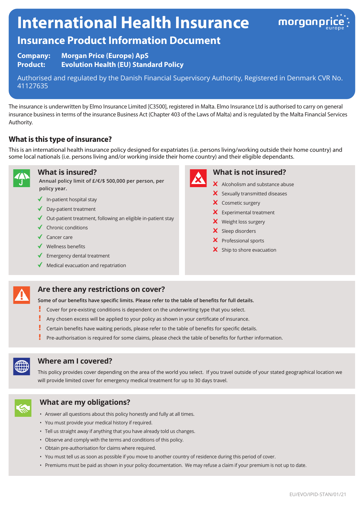# **International Health Insurance**



# **Insurance Product Information Document**

**Company: Morgan Price (Europe) ApS Product: Evolution Health (EU) Standard Policy**

Authorised and regulated by the Danish Financial Supervisory Authority, Registered in Denmark CVR No. 41127635

The insurance is underwritten by Elmo Insurance Limited [C3500], registered in Malta. Elmo Insurance Ltd is authorised to carry on general insurance business in terms of the insurance Business Act (Chapter 403 of the Laws of Malta) and is regulated by the Malta Financial Services Authority.

## **What is this type of insurance?**

This is an international health insurance policy designed for expatriates (i.e. persons living/working outside their home country) and some local nationals (i.e. persons living and/or working inside their home country) and their eligible dependants.



#### **What is insured?**

**Annual policy limit of £/€/\$ 500,000 per person, per policy year.**

- $\blacklozenge$  In-patient hospital stay
- ◆ Day-patient treatment
- $\blacklozenge$  Out-patient treatment, following an eligible in-patient stay
- $\checkmark$  Chronic conditions
- $\checkmark$  Cancer care
- $\checkmark$  Wellness benefits
- Emergency dental treatment
- Medical evacuation and repatriation



#### **What is not insured?**

- $\boldsymbol{\times}$  Alcoholism and substance abuse
- $\boldsymbol{\times}$  Sexually transmitted diseases
- X Cosmetic surgery
- $\times$  Experimental treatment
- X Weight loss surgery
- X Sleep disorders
- $\boldsymbol{\times}$  Professional sports
- $\boldsymbol{\times}$  Ship to shore evacuation



#### **Are there any restrictions on cover?**

**Some of our benefits have specific limits. Please refer to the table of benefits for full details.**

- y Cover for pre-existing conditions is dependent on the underwriting type that you select.
- Ţ Any chosen excess will be applied to your policy as shown in your certificate of insurance.
- Ţ Certain benefits have waiting periods, please refer to the table of benefits for specific details.
- Pre-authorisation is required for some claims, please check the table of benefits for further information.



#### **Where am I covered?**

This policy provides cover depending on the area of the world you select. If you travel outside of your stated geographical location we will provide limited cover for emergency medical treatment for up to 30 days travel.



#### **What are my obligations?**

- Answer all questions about this policy honestly and fully at all times.
- You must provide your medical history if required.
- Tell us straight away if anything that you have already told us changes.
- Observe and comply with the terms and conditions of this policy.
- Obtain pre-authorisation for claims where required.
- You must tell us as soon as possible if you move to another country of residence during this period of cover.
- Premiums must be paid as shown in your policy documentation. We may refuse a claim if your premium is not up to date.